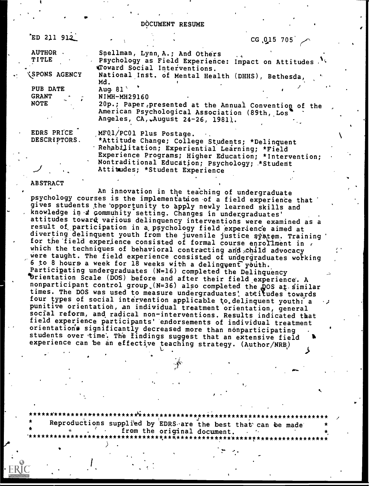DOCUMENT RESUME

| ED 211 912                                |                                                                                                  | CG 015 705 $\sim$                                     |  |
|-------------------------------------------|--------------------------------------------------------------------------------------------------|-------------------------------------------------------|--|
| <b>AUTHOR</b><br><b>TITLE</b>             | Snellman, Lynn, A.; And Others                                                                   | Psychology as Field Experience: Impact on Attitudes   |  |
|                                           | doward Social Interventions.                                                                     |                                                       |  |
| <b><i><u><b>ISPONS AGENCY</b></u></i></b> | Md.                                                                                              | National Inst. of Mental Health (DHHS), Bethesda,     |  |
| PUB DATE                                  | Aug. $81$                                                                                        |                                                       |  |
| <b>GRANT</b>                              | NIMH-MH29160                                                                                     |                                                       |  |
| <b>NOTE</b>                               | American Psychological Association (89th, Los'<br>Angeles, CA, August 24-26, 1981).              | 20p.; Paper presented at the Annual Convention of the |  |
| EDRS PRICE                                | MF01/PC01 Plus Postage.                                                                          |                                                       |  |
| DESCRIPTORS.                              | *Attitude Change; College Students; *Delinquent<br>Rehabilitation; Experiential Learning; *Field |                                                       |  |
|                                           | Nontraditional Education; Psychology; *Student<br>Attitudes; *Student Experience                 | Experience Programs; Higher Education; *Intervention; |  |

ABSTRACT

An innovation in the teaching of undergraduate psychology courses is the implementation of a field experience that gives students the'opportunity to apply newly learned skills and knowledge in a community setting. Changes in undergraduates' attitudes toward various delinquency interventions were examined as a result of participation in a psychology field experience aimed at diverting delinquent youth from the juvenile justice system. Training '<br>for the field experience consisted of formal course enrollment in which the techniques of behavioral contracting and child advocacy were taught. The field experience consisted of undergraduates working 6 to 8 hours a week for  $18$  weeks with a delinguent youth. Participating undergraduates (N=16) completed the Delinquency lbrientation Scale (DOS) before and after their field experience`. A brientation Scale (DOS) before and after their field experience. A<br>nonparticipant control group (N=36) also completed the DOS at similar<br>times. The DOS was used to measure undergraduates' attitudes tournds times. The DOS was used to measure undergraduates! attitudes towards four types of social intervention applicable to delinquent youth: a punitive orientation, an individual treatment orientation, general social reform, and radical non-interventions. Results indicated that field experience participants' endorsements of individual treatment orientation's significantly decreased more than nonparticipating<br>students over time. The findings suggest that an extensive field experience can be an effective teaching strategy. (Author/NRB)

\*\*\*\*\*\*\*\*\*\*\*\*\*\*\*\*\*\*\*\*\*\*\*\*\*\*0i\*\*\*\*\*\*\*\*\*\*\*\*\*\*\*\*\*\*\*\*\*\*\*\*\*\*\*\*\*\*\*\*\*\*\*\*\*\*\*\*\*\*\*\* Reproductions supplied by EDRS are the best that can be made from the original document. \*\*\*\*\*\*\*\*\*\*\*\*\*\*\*\*\*\*\*\*\*\*\*\*\*

 $I = \{1, 2, \ldots \}$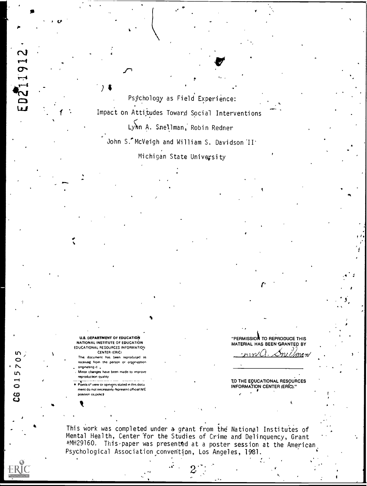Psýchology as Field Experience: Impact on Attitudes Toward Social Interventions Lynn A. Snellman, Robin Redner John S. McVeigh and William S. Davidson II<sup>+</sup> Michigan State University

**U.S. DEPARTMENT OF EDUCATION** NATIONAL INSTITUTE OF EDUCATION EDUCATIONAL RESOURCES INFORMATION CENTER (ERIC)

10211912

015

.<br>ပိ

This document has been reproduced as received from the person or organization onginating it.

Minor changes have been made to improve reproduction quality

Points of view or opinions stated in this docu ment do not necessarily represent official NIE position os policit

"PERMISSION TO REPRODUCE THIS MATERIAL HAS BEEN GRANTED BY

TO THE EDUCATIONAL RESOURCES INFORMATION CENTER (ERIC)."

This work was completed under a grant from the National Institutes of<br>Mental Health, Center for the Studies of Crime and Delinquency, Grant #MH29160. This paper was presented at a poster session at the American Psychological Association convention, Los Angeles, 1981.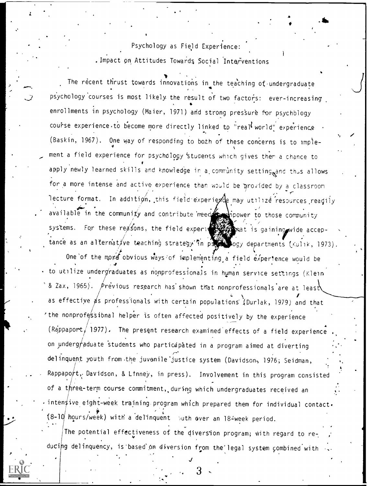Psychology as Field Experience: . Impact on Attitudes Towards Social Interventions Alb

 $\mathbf{Y} = \{x_1, x_2, \ldots, x_n\}$ The recent thrust towards innovations in the teaching of undergraduate psychology courses is most likely the result of two factors: ever-increasing enrollments in psychology (Maier, 1971) and strong pressure for psychology course experience to become more directly linked to "real world" experience  $\,$  .  $(Baskin, 1967)$ . One way of responding to both of these concerns is to implement a field experience for psychology students which gives them a chance to apply newly learned skills and knowledge in a community setting<sub>og</sub>and thus allows for a more intense and active experience than would be provided by a classroom lecture format. In additign, this field-experiede may utilize resources reagily available in the community and contribute reed power to those community systems. For these reasons, the field experiment and is gaining wide acceptance as an alternative teaching strategy in pottor ogy departments (Kulik, 1973).

One of the more obvious ways of implementing a field experience would be to utilize undergraduates as nonprofessionals in human service settings (Klein  $^{\circ}$  & Zax, 1965).  $\phi$ revious research has shown that nonprofessionals are at least as effective  $\cancel{a}$ s professionals with certain populations (Durlak, 1979) and that 'the nonprofessional helper is often affected positively by the experience (Rappaport, 1977). The present research examined effects of a field experience on underg $\neq$ aduate students who participated in a program aimed at diverting delinquent youth from the juvenile justice system (Davidson, 1976; Seidman, Rappapo $\mu$ t, Davidson, & Linney, in press). Involvement in this program consisted  $\ddot{\phantom{a}}$ of a three-term course commitment, during which undergraduates received an inten ive eight-week training program which prepared them for individual contact.  $(8-10)^{\frac{1}{2}}$  hours/week) with a delinquent buth over an 18-week period.

The potential effectiveness of the diversion program; with regard to re- $\frac{1}{2}$ ducing delinquency, is based'on diversion from the legal system combined with

3

J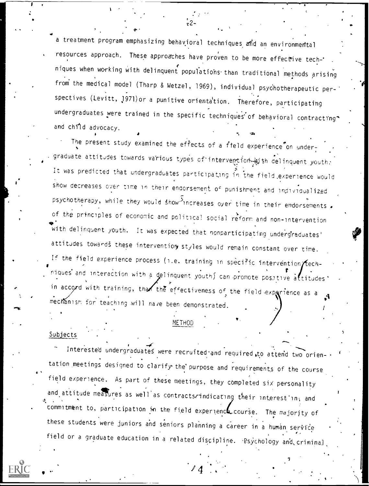a treatment program emphasizing behavioral techniques and an environmental resources approach. These approaches have proven to be more effective tech-' niques when working with delinquent populatiohs.than traditional methods arising from the medical model (Tharp & Wetzel, 1969), individual psychotherapeutic per-' spectives (Levitt, 1971) or a punitive orientation. Therefore, participating undergraduates were trained in the specific techniques of behavioral contracting<sup>\*</sup> and child advocacy.

 $\bullet$   $\bullet$ 

 $z \sim$ 

The present study examined the effects of a field experience on undergraduate attitudes towards various types of intervention  $\omega$  th delinquent youth: It was predicted that undergraduates participating in the field,experience would show decreases over time in their endorsement of punishment and individualized psychotherapy, while they would show-increases over time in their endorsements. of the principles of economic and political social reform and non-intervention 4a with delinquent youth. It was expected that nonparticipating undergraduates' attitudes towards these interventiory styles would remain constant over time. If the field experience process (i.e. training in specific intervention  $\pi$  echniques and interaction with a delinquent youth) can promote positive attitudes. in accord with training, that the effectiveness of the field exparience as a mechanism for teaching will nave been demonstrated.

# METHOD

# Subjects

tation meetings designed to clarify the purpose and requirements of the course  $\rightarrow$ Interested undergraduates were recruited-and required,to attend two orienfield experience. As part of these meetings, they completed six personality and attitude measures as well as contracts indicating their interest in; and commitment to, participation in the field experience course. The majority of these students were juniors and seniors planning a career in a human service field or a graduate education in a related discipline. 'Psychology and criminal,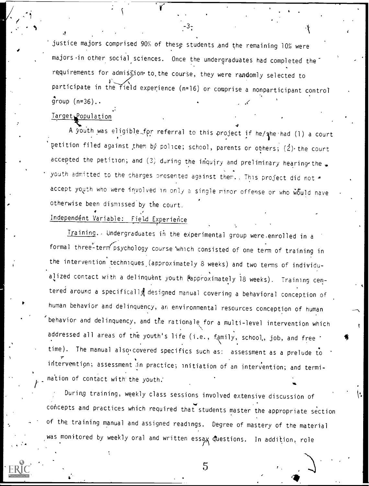justice majors comprised 90% of these students .and the remaining 10% were majors in other social sciences. Once the undergraduates had completed the requirements for admission to the course, they were randomly selected to participate in the field experience (n=16) or comprise a nonparticipant control  $\qquad \, .$  $group (n=36)$ ..

 $-3\frac{1}{4}$ 

# Target Population

42 and 200

A youth was eligible for referral to this project if he/ane had (1) a court petition filed against them by police; school, parents or others;  $(2)$  the court accepted the petition; and (3) during the inquiry and preliminary hearing-the. youth admitted to the charges presented against them., This project did not  $*$ accept youth who were involved in only a single minor offense or who  $\tilde{w}\tilde{b}$ uld nave otherwise been dismissed by the court.

# Independent Variable: Field Experience

Iraining. Undergraduates in the experimental group were enrolled in a formal three-term psychology course which consisted of one term of training in the intervention techniques (approximately 8 weeks) and two terms of individualized contact with a delinquent youth (approximately 18 weeks). Training centered around a specifically designed manual covering a behavioral conception of human behavior and delinquency, an environmental resources conception of human behavior and delinquency, and the rationale for a multi-level intervention which addressed all areas of the youth's life (i.e., family, school, job, and free  $\cdot$ time). The manual also covered specifics such as: assessment as a prelude to intervention; assessment in practice; initiation of an intervention; and termination of contact with the youth.

During training, weekly class sessions involved extensive discussion of concepts and practices which required that students master the appropriate section of the training manual and assigned readings. Degree of mastery of the material was monitored by weekly oral and written essay questions. In addition, role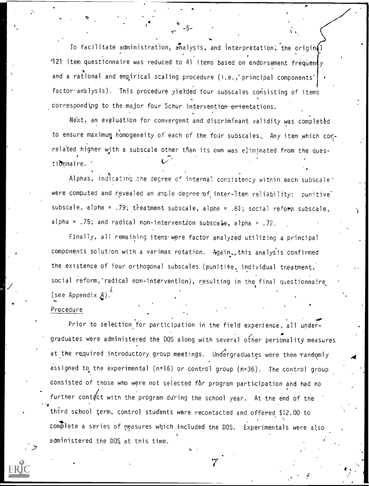To facilitate administration, analysis, and interpretation; the origin $\{ \}$ '121 item questionnaire was reduced to 41 items based on endorsement frequenty and a rational and empirical scaling procedure (i.e., principal components' factor analysis). This procedure yielded four subscales consisting of items corresponding to the major four Schur intervention orientations. y

 $\mathbf{r}$  , and  $\mathbf{r}$  , and  $\mathbf{r}$ 

Next, an evaluation for convergent and discriminant validity was complet&d to ensure maximum homogeneity of each of the four subscales. Any item which correlated higher with a subscale other than its own was eliminated from the ques- $\mathbf{r}$ ti&nnaire.

Alphas, indicating the degree of internal consistency within each subscale t were computed and revealed an ample degree of inter-item reliability: punitive subscale, alpha = .79; treatment subscale, alpha = .81; social reform subscale, alpha =  $.75$ ; and radical non-intervention subscale, alpha =  $.72$ .

Finally, all remaining items were factor analyzed utilizing a principal components solution with a varimax rotation. Again, this analysis confirmed the existence of four orthogonal subscales (punitive, individual treatment, social reform,'radical non-intervention), resulting in the final questionnaire  $\bullet$  and  $\bullet$ (see Appendix  $A$ ).

# Procedure

.

. .

\*4 Prior to selection for participation in the field experience, all under-  $\bullet$  . The contract of  $\bullet$ graduates were administered the DOS along with several other personality measures at the required introductory group meetings. Undergraduates were then randomly assigned to the experimental (n=16) or control group (n=36). The control group consisted of those who were not selected for program participation and had no further cont $\frac{d}{dt}$  with the program during the school year. At the end of the third school term, control students were recontacted and offered \$12.00 to complete a series of measures which included the DOS. Experimentals were also administered the DOS at this time.



A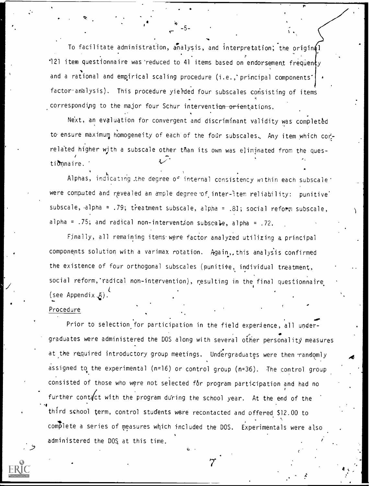To facilitate administration, analysis, and interpretation; the original 7 '121 item questionnaire was reduced to 41 items based on endorsement frequen¢y and a rational and empirical scaling procedure (i.e., principal components' factor analysis). This procedure yielded four subscales consisting of items corresponding to the major four Schur intervention orientations.

-5-

Next, an evaluation for convergent and discriminant validity was completed to ensure maximum homogeneity of each of the four subscales. Any item which correlated higher with a subscale other than its own was eliminated from the questionnaire.

Alphas, indicating the degree of internal consistency within each subscale ' were computed and revealed an ample degree of inter-item reliability: punitive' subscale, alpha = .79; treatment subscale, alpha = .81; social reform subscale, alpha =  $.75$ ; and radical non-intervention subscale, alpha =  $.72$ .

Finally, all remaining items were factor analyzed utilizing a principal components solution with a varimax rotation. Again, this analysis confirmed the existence of four orthogonal subscales (punitive, individual treatment, social reform, radical non-intervention), resulting in the final questionnaire. (see Appendix $A$ ).

# Procedure

'4 Prior to selection for participation in the field experience, all undergraduates were administered the DOS along with several other personality measures at the required introductory group meetings. Undergraduates were then randomly assigned to the experimental ( $n=16$ ) or control group ( $n=36$ ). The control group consisted of those who were not selected for program participation and had no further cont $\frac{d}{dt}$  with the program during the school year. At the end of the third school term, control students were recontacted and offered \$12.00 to complete a series of measures which included the DOS. Experimentals were also administered the DOS, at this time.

7

 $\lambda$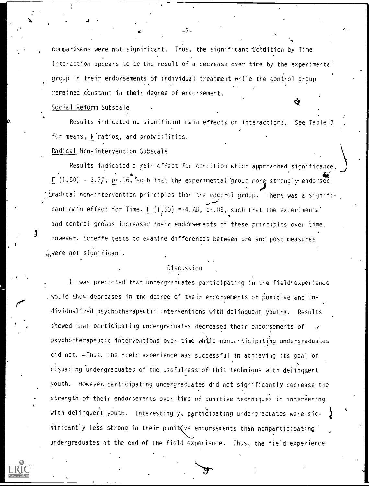comparisons were not significant. Thus, the significant 'Condition by Time interaction appears to be the result of a decrease over time by the experimental group in their endorsements of individual treatment while the control group remained constant in their degree of endorsement.

# Social Reform Subscale

 $\mathbf{S}$ ,  $\mathbf{S}$ ,  $\mathbf{S}$ ,  $\mathbf{S}$ ,  $\mathbf{S}$ ,  $\mathbf{S}$ ,  $\mathbf{S}$ ,  $\mathbf{S}$ ,  $\mathbf{S}$ ,  $\mathbf{S}$ ,  $\mathbf{S}$ ,  $\mathbf{S}$ ,  $\mathbf{S}$ ,  $\mathbf{S}$ ,  $\mathbf{S}$ ,  $\mathbf{S}$ ,  $\mathbf{S}$ ,  $\mathbf{S}$ ,  $\mathbf{S}$ ,  $\mathbf{S}$ ,  $\mathbf{S}$ ,  $\mathbf{S}$ ,

Results indicated no significant main effects or interactions. 'See Table 3 for means, F'ratios., and probabilities.

# Radical Non-intervention Subscale

Results indicated a main effect for cordition which approached significance F (1,50) = p-.06, 'such that the experimental 'group more strongly endorsed  $\frac{1}{2}$ 9)  $\frac{1}{2}$ radical non-intervention principles than the control group. There was a signifi-  $\frac{1}{2}$ cant main effect for Time,  $F(1,50) = 4.70$ ,  $p < 0.05$ , such that the experimental the contract of the contract of the contract of the contract of the contract of the contract of the contract of the contract of the contract of the contract of the contract of the contract of the contract of the contract o and control groups increased their endorsements of these principles over time. However, Scneffe tests to examine differences between pre and post measures were not significant.

# Discussion

It was predicted that undergraduates participating in the field' experience would show decreases in the degree of their endorsements of punitive and individualized psychotherdpeutic interventions with delinquent youths: Results showed that participating undergraduates decreased their endorsements of psychotherapeutic interventions over time while nonparticipating undergraduates did not. - Thus, the field experience was successful in achieving its goal of disuading 'undergraduates of the usefulness of this technique with delinquent youth. However, participating undergraduates did not significantly decrease the strength of their endorsements over time of punitive techniques in intervening with delinquent youth. Interestingly, participating undergraduates were sig- $\hat{n}$ ificantly less strong in their punit (ve endorsements than nonparticipating  $\hat{n}$ undergraduates at the end of the field experience. Thus, the field experience

-7-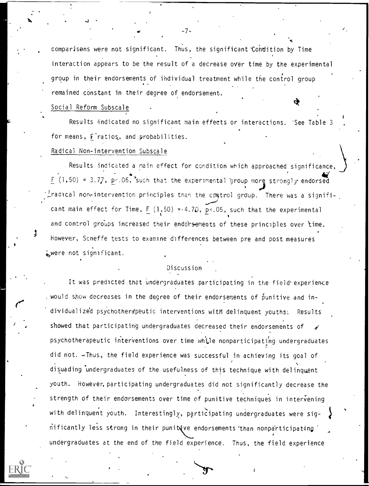comparisens were not significant. Thus, the significant Condition by Time interaction appears to be the result of a decrease over time by the experimental group in their endorsements of individual treatment while the control group remained constant in their degree of endorsement.

# Social Reform Subscale

 $\overline{J}$   $\overline{J}$   $\overline{J}$   $\overline{J}$   $\overline{J}$   $\overline{J}$   $\overline{J}$   $\overline{J}$   $\overline{J}$   $\overline{J}$   $\overline{J}$   $\overline{J}$   $\overline{J}$   $\overline{J}$   $\overline{J}$   $\overline{J}$   $\overline{J}$   $\overline{J}$   $\overline{J}$   $\overline{J}$   $\overline{J}$   $\overline{J}$   $\overline{J}$   $\overline{J}$   $\overline{$ 

Results indicated no significant main effects or interactions. 'See Table 3 for means, F'ratios., and probabilities.

# Radical Non-intervention Subscale

Results indicated a main effect for condition which approached significance,  $F (1, 50) = 3.77$ , p<.06, such that the experimental group more strongly endorsed  $L$ radical non-intervention principles than the control group. There was a signifi-  $\Delta$ . cant main effect for Time,  $F (1,50) = 4.70$ ,  $p < 0.05$ , such that the experimental  $\blacksquare$ and control groups increased their endorsements of these principles over time. However, Scneffe tests to examine differences between pre and post measures were not significant.

# Discussion

It was predicted that undergraduates participating in the field experience . would show decreases in the degree of their endorsements of  $\mathring{\mathsf{p}}$ unitive and individualize'd psychotherdpeutic interventions with delinquent youths: Results showed that participating undergraduates decreased their endorsements of psychotherapeutic interventions over time while nonparticipating undergraduates did not. Thus, the field experience was successful in achieving its goal of disuading undergraduates of the usefulness of this technique with delinquent youth. However, participating undergraduates did not significantly decrease the strength of their endorsements over time of punitive techniques in intervening with delinquent youth. Interestingly, participating undergraduates were significantly less strong in their punitive endorsements than nonparticipating undergraduates at the end of the field experience. Thus, the field experience

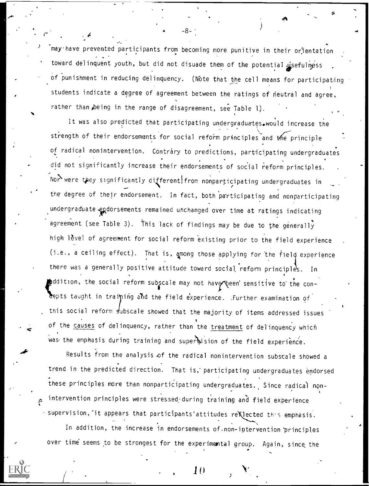may have prevented participants from becoming more punitive in their orientation toward delinquent youth, but did not disuade them of the potential usefulness of punishment in reducing delinquency. (Note that the cell means for participating students indicate a degree of agreement between the ratings of neutral and agree, rather than being in the range of disagreement, see Table 1).

-8-

It was also predicted that participating undergraduates. would increase the strength of their endorsements for social reform principles and the principle of radical nonintervention. Contrary to predictions, participating undergraduates did not significantly increase their endorsements of social reform principles. Nor were they significantly different from nonparticipating undergraduates in the degree of their endorsement. In fact, both participating and nonparticipating undergraduate endorsements remained unchanged over time at ratings indicating agreement (see Table 3). This lack of findings may be due to the generally high 16vel of agreement for social reform existing prior to the field experience (i.e., a ceiling effect). That is, among those applying for the field experience there was a generally positive attitude toward social reform principles. In  $\clubsuit$ ddition, the social reform subscale may not have peen sensitive to the concepts taught in training and the field experience. .Further examination of this social reform subscale showed that the majority of items addressed issues of the causes of delinquency, rather than the treatment of delinquency which was the emphasis during training and supertision of the field experience.

Results from the analysis of the radical nonintervention subscale showed a trend in the predicted direction. That is,' participating undergraduates endorsed these principles more than nonparticipating undergraduates., Since radical non-, intervention principles were stressed during training and field experience  $\cdot$  supervision, it appears that participants'attitudes re $\chi$  ected this emphasis.

In addition, the increase in endorsements of.non-iptervention 'principles over time seems to be strongest for the experimental group. Again, since, the

 $1$  f)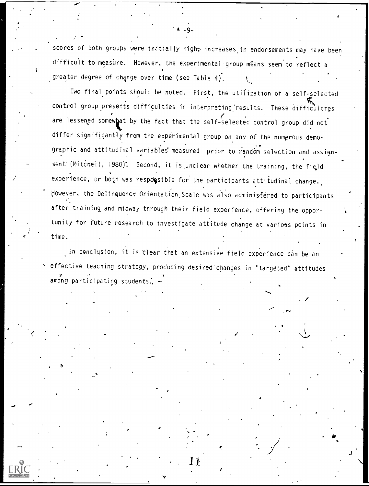scores of both groups were initially high, increases in endorsements may have been difficult to measure. However, the experimental group méans seem to reflect a greater degree of change over time (see Table 4).  $\Delta\mathbf{q}$  and  $\mathbf{q}$ 

 $-9-$ 

Two final points should be noted. First, the utilization of a self-selected control group presents difficulties in interpreting results. These difficulties are lessened somewhat by the fact that the self-selected control group did not differ significantly from the expe'rimental group on any of the numerous demographic and attitudinal variables measured prior to random selection and assignment (Mitchell, 1980). Second, it is unclear whether the training, the field experience, or both was resporsible for the participants attitudinal change. However, the Delinquency Orientation Scale was also administered to participants after training and midway through their field experience, offering the opportunity for future research to investigate attitude change at various points in time.

In conclusion, it is Clear that an extensive field experience can be an effective teaching strategy, producing desired"changes in "targeted" attitudes among participating students.

a a shekarar 1

4.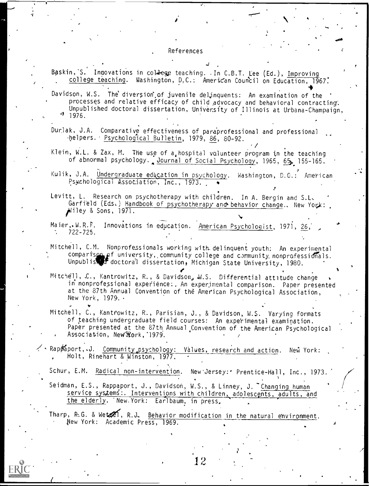### References

Baskin, S. Innovations in college teaching. In C.B.T. Lee (Ed.), Improving college teaching. Washington, D.C.: American Council on Education, 1967. 4 Davidson, W.S. The diversion of juvenile delinquents: An examination of the processes and relative efficacy of child advocacy and behavioral contracting: Unpublished doctoral dissertation, University of Illinois at Urbana-Champaign  $976.$ Durlak, J.A. Comparative effectiveness of paraprofessional and professional helpers. Psychological Bulletin, 1979, 86, 80-92. Klein, W.L. & Zax, M. The use of a hospital valunteer program in the teaching of abnormal psychology. Journal of Social Psychology, 1965, 65, 155-165. Kulik, J.A. Undergraduate ed&cation in psychology. Washington, D.C.: American Psychological Association, Inc., 1973. Levitt, L. Research on psychotherapy with children. In A. Bergin and S.L, Garfield (Eds.) Handbook of psychotherapy and behavior change.. New York:  $j$ iley & Sons, 1971. Maier, W.R.F. Innovations in education. American Psychologist, 1971, 26, 722-725. Mitchell, C.M. Nonprofessionals working with\_ delinquent youth; An experimental comparis $\Omega_{\rm b}$  of university, community college and c.mmunity nonprofessionals. Unpublis of doctoral dissertation, Michigan State University, 1980.  $\hspace{1cm}$ Mitchell, C., Kantrowitz, R., & Davidson, W.S. Differential attitude change in nonprofessional experience:. An experimental comparison. Paper presented at the 87th Annual Convention of the American Psychological Association, New York, 1979. Mitchell, C., Kantrowitz, R., Parisian, J., & Davidson, W.S. Varying formats of teaching undergraduate field courses: An experimental examination. Paper presented at the 87th, Annual. Convention of the American Psychological Association, New York, 1979. . Rappaport, J. Community psychology: Values, research and action. New York: Holt, Rinehart & Winston, 1977. Schur, E.M. Radical non-intervention. New Jersey: Prentice-Hall, Inc., 1973. Seidman, E.S., Rappaport, J., Davidson, W.S., & Linney, J. Changing human service systems: Interventions with children, adolescents, adults, and the elderly. 'New.York: Earlbaum, in press, Tharp, R.G. & Wet $\mathscr{L}$ , R.J. Behavior modification in the natural environment.



New York: Academic Press, 1969.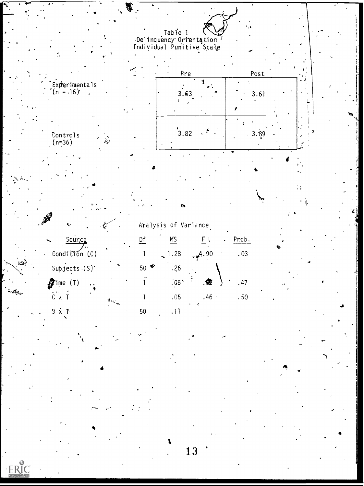



| Analysis of Variance |  |
|----------------------|--|
|                      |  |

| Source                            |                     |      | <b>MS</b>        | ٠                | Prob. |
|-----------------------------------|---------------------|------|------------------|------------------|-------|
| Condition $(E)$                   |                     |      | $\sim$ 1.28      | $-4.90$          | .03   |
| Subjects $(S)$                    |                     | 50 - | . 26             |                  |       |
| $\partial \hspace{-1.25cm} f$ ime |                     |      | .06 <sup>1</sup> | .66              | .47   |
| $C \times$                        | <b>CONSTRUCTION</b> |      | .05              | .46 <sub>1</sub> | .50   |
| S x i                             |                     | 50   |                  |                  |       |

 $\text{Contents}(\text{n=36})$ 

ين الأمريكي<br>منابعة الأمريكية

ERIC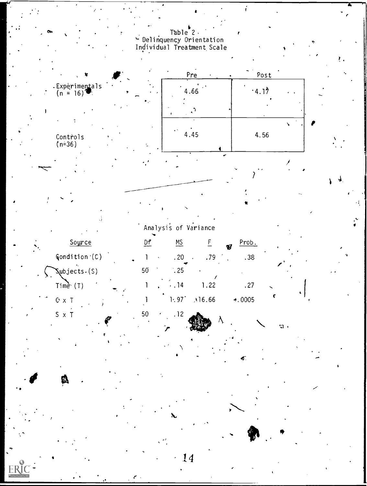Table 2<br>
- Delinquency Orientation<br>
Individual Treatment Scale

ŕ

 $\mathfrak{A}$ 



Analysis of Variance

| Source                                   |    |                     |                |        | Prob.<br>Q            |
|------------------------------------------|----|---------------------|----------------|--------|-----------------------|
| $\mathsf{Condition}^{\cdot}(\mathsf{C})$ |    | $\hat{\phantom{a}}$ | .20            | .79    | .38                   |
| $\mathsf{Subjects.}(\mathsf{S})$         | 50 |                     | $\frac{1}{25}$ |        |                       |
| Time $(1)$                               |    | $\bullet$           | $\cdot$ .14    | .22    | -27                   |
| $\sim$ $\blacksquare$<br>$C1 \times$     |    |                     | 1.97           | .16.66 | $\triangleleft$ .0005 |

50

 $S \times T$ 

**ERIC** 

 $.12$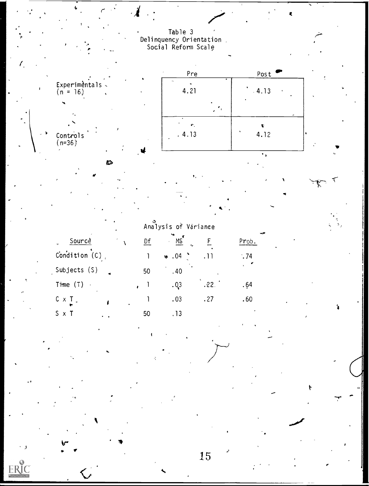Table 3<br>Delinquency Orientation<br>Social Reform Scale

 $\pmb{\mathcal{R}}$ 

you T

Ý

 $\mathcal{A}$ 

Ê,

ERIC



|                                |  |    | Analysis of Variance |      |       |  |  |
|--------------------------------|--|----|----------------------|------|-------|--|--|
| Sourcè<br>$\ddot{\phantom{0}}$ |  | Df | MS                   |      | Prob. |  |  |
| Condition $(C)$ .              |  |    | $\ast .04$           | .11  | .74   |  |  |
| Subjects (S)                   |  | 50 | .40                  |      |       |  |  |
| Time (T)<br>$\sim$ $\lambda$   |  |    | .03                  | .22. | . 64  |  |  |
| C x T .                        |  |    | .03                  | .27  | .60   |  |  |
| $S \times T$                   |  | 50 |                      |      |       |  |  |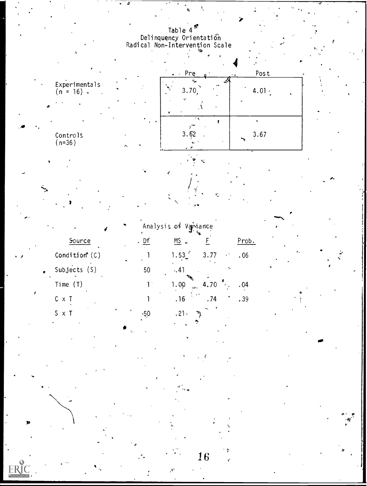Table 4<sup>2</sup><br>Delinquency Orientation<br>Radical Non-Intervention Scale

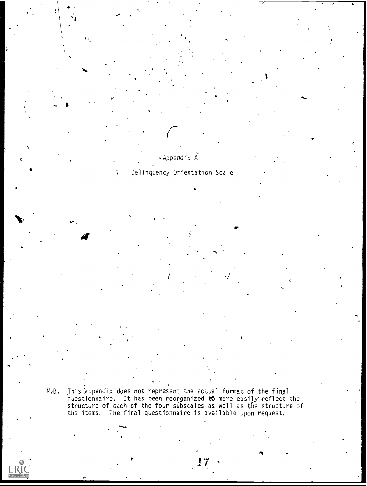N.B. This appendix does not represent the actual format of the final questionnaire. It has been reorganized to more easily reflect the structure of each of the four subscales as well as the structure of the items. The final questionnaire is available upon request.

17

 $\bullet$ 

A 1 or  $\mathcal{A}$  1 or  $\mathcal{A}$  1 or  $\mathcal{A}$  1 or  $\mathcal{A}$  1 or  $\mathcal{A}$  1 or  $\mathcal{A}$  1 or  $\mathcal{A}$  1 or  $\mathcal{A}$ 

# i

 $\overline{4}$ /

Delinquency Orientation Scale

 $\int_{0}^{1}$  $~\sim$  Appendix  $A$ 

 $\bullet$  . The set of  $\mathbb{R}^n$ 

 $\ddot{\phantom{1}}$ 

(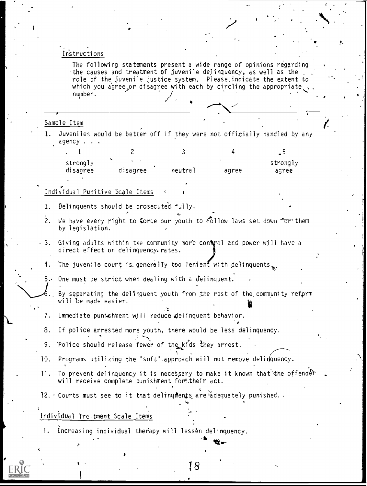### Instructions

The following statements present a wide range of opinions regarding the causes and treatment of juvenile delinquency, as well as the role of the juvenile justice system. Please.indicate the extent to which you agree or disagree with each by circling the appropriate,. number.  $\sqrt{2}$ 

### Sample Item

1. Juveniles would be better off if they were not officially handled by any agency . . .

|                      |                                      |         |       | - ~               |  |
|----------------------|--------------------------------------|---------|-------|-------------------|--|
| strongly<br>disagree | $\overline{\phantom{a}}$<br>disagree | neutral | agree | strongly<br>agree |  |

# Individual Punitive Scale Items

- 1. Delinquents should be prosecuted fully.
- 2. We have every right to force our youth to  $f_0$ llow laws set down for them by legislation.
- $\cdot$  3. Giving adults within the community more control and power will have a direct effect on delinquency-rates.
	- 4. The juvenile court is generally too lenient with delinquents.
	- 5. One must be strict when dealing with a delinquent.
		- By separating the delinquent youth from the rest of the,community refprm will be made easier.
	- 7. Immediate punishment will reduce delinquent behavior.
- 8. If police arrested more youth, there would be less delinquency.
- 9. Police should release fewer of the kids they arrest.
- 10. Programs utilizing the "soft" approach will not remove delinquency.
- 11. To prevent delinquency it is necessary to make it known that the offender will receive complete punishment for their act.

18

12. Courts must see to it that delinguents are adequately punished.

# Individual Treutment Scale Items

1. Increasing individual therapy will lessen delinquency.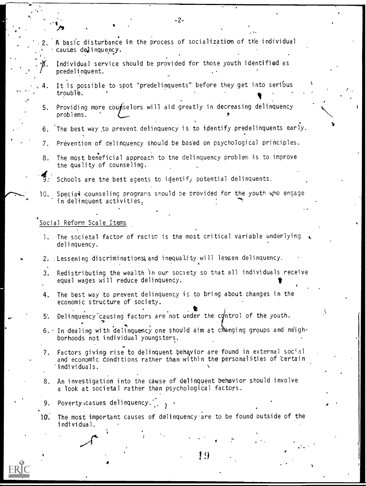2. A basic disturbance in the process of socialization of the individual causes deJinquency.

-2-

- Individual service should be provided for those youth identified as predelinquent.
- It is possible to spot "predelinquents" before they get into serious trouble.
- 5. Providing more counselors will aid greatly in decreasing delinquency problems.
- 6. The best way ,to prevent delinquency is to identify predelinquents early.
- 7. Prevention of delinquency should be bas'ed on psychological principles.
- 8. The most beneficial approach to the delinquency problem is to improve the quality of counseling.

 $\overline{3}$ : Schools are the best agents to identify potential delinquents.

10. Special counseling programs snould be provided for the youth who engage in delinquent activities.

# Social Reform Scale Items

 $\cdots$  .

- 1. The societal factor of racism is the most critical variable underlying delinquency.
- 2. Lessening discriminations and inequality will lessen delinquency.
- 3. Redistributing the wealth in our society so that all individuals receive equal wages will reduce delinquency.
- 4. The best way to prevent delinquency is to bring about changes in the economic structure of society.
- 5. Delinquency causing factors are not under the control of the youth.
- $6.$  In dealing with delinquency one should aim at changing groups and neighborhoods not individual youngsters.
- Ve 7. Factors giving rise to delinquent behavior are found in external social and economic Conditions rather than within the personalities of certain 'individuals.
- 8. An investigation into the cause of delinquent behavior should involve a look at societal rather than psychological factors.
- 9. Poverty casues delinquency.
- $10.$  The most important causes of delinquency are to be found outside of the individual.

19

I